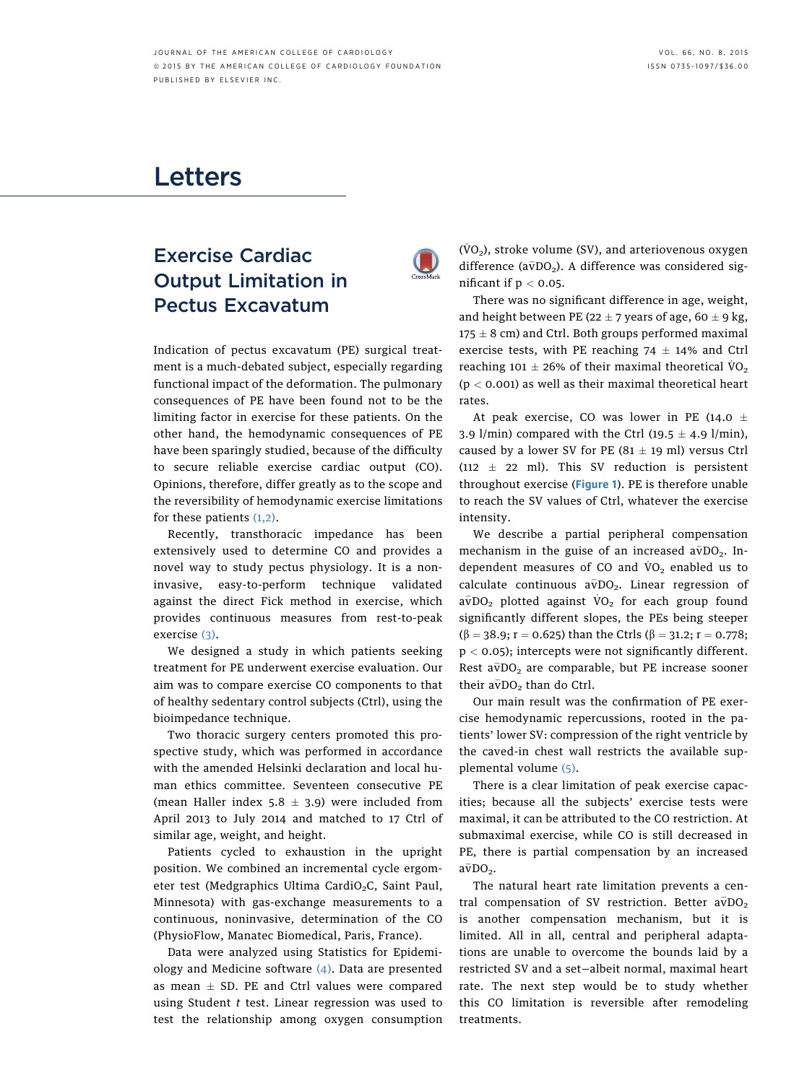## Letters

## Exercise Cardiac Output Limitation in Pectus Excavatum



Indication of pectus excavatum (PE) surgical treatment is a much-debated subject, especially regarding functional impact of the deformation. The pulmonary consequences of PE have been found not to be the limiting factor in exercise for these patients. On the other hand, the hemodynamic consequences of PE have been sparingly studied, because of the difficulty to secure reliable exercise cardiac output (CO). Opinions, therefore, differ greatly as to the scope and the reversibility of hemodynamic exercise limitations for these patients [\(1,2\).](#page-1-0)

Recently, transthoracic impedance has been extensively used to determine CO and provides a novel way to study pectus physiology. It is a noninvasive, easy-to-perform technique validated against the direct Fick method in exercise, which provides continuous measures from rest-to-peak exercise [\(3\).](#page-1-0)

We designed a study in which patients seeking treatment for PE underwent exercise evaluation. Our aim was to compare exercise CO components to that of healthy sedentary control subjects (Ctrl), using the bioimpedance technique.

Two thoracic surgery centers promoted this prospective study, which was performed in accordance with the amended Helsinki declaration and local human ethics committee. Seventeen consecutive PE (mean Haller index  $5.8 \pm 3.9$ ) were included from April 2013 to July 2014 and matched to 17 Ctrl of similar age, weight, and height.

Patients cycled to exhaustion in the upright position. We combined an incremental cycle ergometer test (Medgraphics Ultima CardiO<sub>2</sub>C, Saint Paul, Minnesota) with gas-exchange measurements to a continuous, noninvasive, determination of the CO (PhysioFlow, Manatec Biomedical, Paris, France).

Data were analyzed using Statistics for Epidemiology and Medicine software (4). Data are presented as mean  $\pm$  SD. PE and Ctrl values were compared using Student  $t$  test. Linear regression was used to test the relationship among oxygen consumption  $(\dot{V}O_2)$ , stroke volume (SV), and arteriovenous oxygen difference ( $a\bar{v}DO<sub>2</sub>$ ). A difference was considered significant if  $p < 0.05$ .

There was no significant difference in age, weight, and height between PE (22  $\pm$  7 years of age, 60  $\pm$  9 kg,  $175 \pm 8$  cm) and Ctrl. Both groups performed maximal exercise tests, with PE reaching  $74 \pm 14\%$  and Ctrl reaching 101  $\pm$  26% of their maximal theoretical VO<sub>2</sub>  $(p < 0.001)$  as well as their maximal theoretical heart rates.

At peak exercise, CO was lower in PE (14.0  $\pm$ 3.9 l/min) compared with the Ctrl  $(19.5 \pm 4.9 \text{ l/min})$ , caused by a lower SV for PE  $(81 \pm 19 \text{ ml})$  versus Ctrl (112  $\pm$  22 ml). This SV reduction is persistent throughout exercise ([Figure 1](#page-1-0)). PE is therefore unable to reach the SV values of Ctrl, whatever the exercise intensity.

We describe a partial peripheral compensation mechanism in the guise of an increased  $a\bar{v}DO_{2}$ . Independent measures of CO and  $VO_2$  enabled us to calculate continuous  $a\overline{v}DO_{2}$ . Linear regression of  $a\overline{v}DO_{2}$  plotted against  $VO_{2}$  for each group found significantly different slopes, the PEs being steeper  $(\beta = 38.9; r = 0.625)$  than the Ctrls  $(\beta = 31.2; r = 0.778;$  $p < 0.05$ ); intercepts were not significantly different. Rest  $a\bar{v}DO_{2}$  are comparable, but PE increase sooner their  $a\bar{v}$ DO<sub>2</sub> than do Ctrl.

Our main result was the confirmation of PE exercise hemodynamic repercussions, rooted in the patients' lower SV: compression of the right ventricle by the caved-in chest wall restricts the available supplemental volume [\(5\)](#page-1-0).

There is a clear limitation of peak exercise capacities; because all the subjects' exercise tests were maximal, it can be attributed to the CO restriction. At submaximal exercise, while CO is still decreased in PE, there is partial compensation by an increased  $a\overline{v}DO<sub>2</sub>$ .

The natural heart rate limitation prevents a central compensation of SV restriction. Better  $a\bar{v}DO_{2}$ is another compensation mechanism, but it is limited. All in all, central and peripheral adaptations are unable to overcome the bounds laid by a restricted SV and a set—albeit normal, maximal heart rate. The next step would be to study whether this CO limitation is reversible after remodeling treatments.